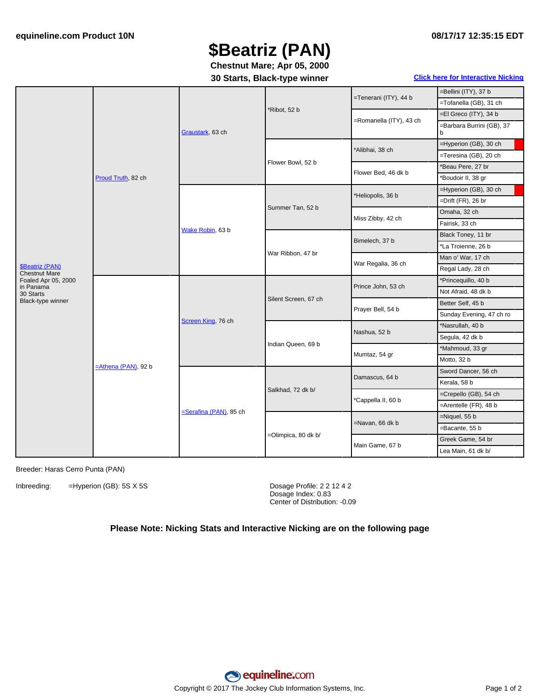# **\$Beatriz (PAN)**

**Chestnut Mare; Apr 05, 2000**

### **30 Starts, Black-type winner Click here for [Interactive](#page-1-0) Nicking**

|                                                                                                               |                        |                           |                        |                         | =Bellini (ITY), 37 b           |
|---------------------------------------------------------------------------------------------------------------|------------------------|---------------------------|------------------------|-------------------------|--------------------------------|
| \$Beatriz (PAN)<br><b>Chestnut Mare</b><br>Foaled Apr 05, 2000<br>in Panama<br>30 Starts<br>Black-type winner | Proud Truth, 82 ch     | Graustark, 63 ch          | *Ribot, 52 b           | =Tenerani (ITY), 44 b   | =Tofanella (GB), 31 ch         |
|                                                                                                               |                        |                           |                        |                         | =El Greco (ITY), 34 b          |
|                                                                                                               |                        |                           |                        | =Romanella (ITY), 43 ch | =Barbara Burrini (GB), 37<br>b |
|                                                                                                               |                        |                           | Flower Bowl, 52 b      | *Alibhai, 38 ch         | =Hyperion (GB), 30 ch          |
|                                                                                                               |                        |                           |                        |                         | =Teresina (GB), 20 ch          |
|                                                                                                               |                        |                           |                        | Flower Bed, 46 dk b     | *Beau Pere, 27 br              |
|                                                                                                               |                        |                           |                        |                         | 'Boudoir II, 38 gr             |
|                                                                                                               |                        | Wake Robin, 63 b          | Summer Tan, 52 b       | *Heliopolis, 36 b       | =Hyperion (GB), 30 ch          |
|                                                                                                               |                        |                           |                        |                         | =Drift (FR), 26 br             |
|                                                                                                               |                        |                           |                        | Miss Zibby, 42 ch       | Omaha, 32 ch                   |
|                                                                                                               |                        |                           |                        |                         | Fairisk, 33 ch                 |
|                                                                                                               |                        |                           | War Ribbon, 47 br      | Bimelech, 37 b          | Black Toney, 11 br             |
|                                                                                                               |                        |                           |                        |                         | *La Troienne, 26 b             |
|                                                                                                               |                        |                           |                        | War Regalia, 36 ch      | Man o' War, 17 ch              |
|                                                                                                               |                        |                           |                        |                         | Regal Lady, 28 ch              |
|                                                                                                               | $=$ Athena (PAN), 92 b | Screen King, 76 ch        | Silent Screen, 67 ch   | Prince John, 53 ch      | *Princequillo, 40 b            |
|                                                                                                               |                        |                           |                        |                         | Not Afraid, 48 dk b            |
|                                                                                                               |                        |                           |                        | Prayer Bell, 54 b       | Better Self, 45 b              |
|                                                                                                               |                        |                           |                        |                         | Sunday Evening, 47 ch ro       |
|                                                                                                               |                        |                           | Indian Queen, 69 b     | Nashua, 52 b            | *Nasrullah, 40 b               |
|                                                                                                               |                        |                           |                        |                         | Segula, 42 dk b                |
|                                                                                                               |                        |                           |                        | Mumtaz, 54 gr           | *Mahmoud, 33 gr                |
|                                                                                                               |                        |                           |                        |                         | Motto, 32 b                    |
|                                                                                                               |                        | $=$ Serafina (PAN), 85 ch | Salkhad, 72 dk b/      | Damascus, 64 b          | Sword Dancer, 56 ch            |
|                                                                                                               |                        |                           |                        |                         | Kerala, 58 b                   |
|                                                                                                               |                        |                           |                        | *Cappella II, 60 b      | =Crepello (GB), 54 ch          |
|                                                                                                               |                        |                           |                        |                         | =Arentelle (FR), 48 b          |
|                                                                                                               |                        |                           | $=$ Olimpica, 80 dk b/ | =Navan, 66 dk b         | $=$ Niquel, 55 b               |
|                                                                                                               |                        |                           |                        |                         | =Bacante, 55 b                 |
|                                                                                                               |                        |                           |                        | Main Game, 67 b         | Greek Game, 54 br              |
|                                                                                                               |                        |                           |                        |                         | Lea Main, 61 dk b/             |

#### Breeder: Haras Cerro Punta (PAN)

Inbreeding: =Hyperion (GB): 5S X 5S Dosage Profile: 2 2 12 4 2

Dosage Index: 0.83 Center of Distribution: -0.09

## **Please Note: Nicking Stats and Interactive Nicking are on the following page**